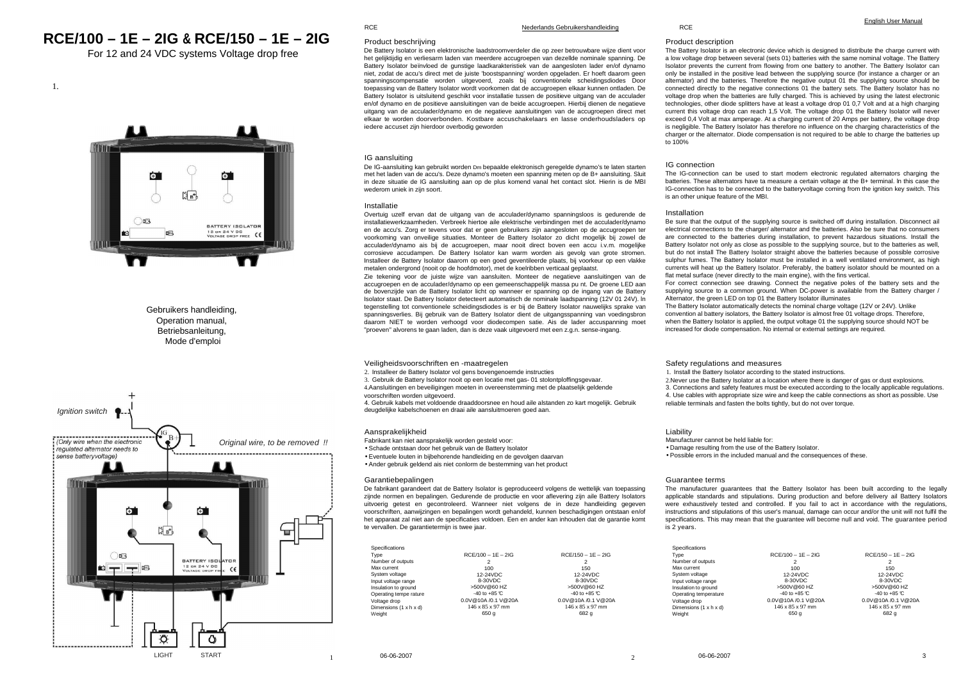# **RCE/100 – 1E – 2IG & RCE/150 – 1E – 2IG**

For 12 and 24 VDC systems Voltage drop free



# Gebruikers handleiding, Operation manual, **Betriebsanleitung** Mode d'emploi



### RCE

# Nederlands Gebruikershandleiding

# Product beschrijving

 De Battery Isolator is een elektronische laadstroomverdeler die op zeer betrouwbare wijze dient voor het gelijktijdig en verliesarm laden van meerdere accugroepen van dezellde nominale spanning. De Battery Isolator beïnvloed de gunstige laadkarakteristiek van de aangesloten lader en/of dynamo niet, zodat de accu's direct met de juiste 'boostspanning' worden opgeladen. Er hoeft daarom geen spanningscompensatie worden uitgevoerd, zoals bij conventionele scheidingsdiodes Door toepassing van de Battery Isolator wordt voorkomen dat de accugroepen elkaar kunnen ontladen. De Battery Isolator is uitsluitend geschikt voor installatie tussen de positieve uitgang van de acculader en/of dynamo en de positieve aansluitingen van de beide accugroepen. Hierbij dienen de negatieve uitgang van de acculader/dynamo en de negatieve aansluitingen van de accugroepen direct met elkaar te worden doorverbonden. Kostbare accuschakelaars en lasse onderhoudsladers op iedere accuset zijn hierdoor overbodig geworden

# IG aansluiting

 De IG-aansluiting kan gebruikt worden Dm bepaalde elektronisch geregelde dynamo's te laten starten met het laden van de accu's. Deze dynamo's moeten een spanning meten op de B+ aansluiting. Sluit in deze situatie de IG aansluiting aan op de plus komend vanal het contact slot. Hierin is de MBI wederom uniek in zijn soort.

# Installatie

 Overtuig uzelf ervan dat de uitgang van de acculader/dynamo spanningsloos is gedurende de installatiewerkzaamheden. Verbreek hiertoe aile elektrische verbindingen met de acculader/dynamo en de accu's. Zorg er tevens voor dat er geen gebruikers zijn aangesloten op de accugroepen ter voorkoming van onveilige situaties. Monteer de Battery Isolator zo dicht mogelijk bij zowel de acculader/dynamo ais bij de accugroepen, maar nooit direct boven een accu i.v.m. mogelijke corrosieve accudampen. De Battery Isolator kan warm worden ais gevolg van grote stromen. Installeer de Battery Isolator daarom op een goed geventileerde plaats, bij voorkeur op een vlakke metalen ondergrond (nooit op de hoofdmotor), met de koelribben verticaal geplaatst.

 Zie tekening voor de juiste wijze van aansluiten. Monteer de negatieve aansluitingen van de accugroepen en de acculader/dynamo op een gemeenschappelijk massa pu nt. De groene LED aan de bovenzijde van de Battery Isolator licht op wanneer er spanning op de ingang van de Battery Isolator staat. De Battery Isolator detecteert automatisch de nominale laadspanning (12V 01 24V). ln tegenstelling tot conventionele scheidingsdiodes is er bij de Battery Isolator nauwelijks sprake van spanningsverlies. Bij gebruik van de Battery Isolator dient de uitgangsspanning van voedingsbron daarom NIET te worden verhoogd voor diodecompen satie. Ais de lader accuspanning moet "proeven" alvorens te gaan laden, dan is deze vaak uitgevoerd met een z.g.n. sense-ingang.

Veiligheidsvoorschriften en -maatregelen

2. Installeer de Battery Isolator vol gens bovengenoemde instructies

 3. Gebruik de Battery Isolator nooit op een locatie met gas- 01 stolontploffingsgevaar. 4.Aansluitingen en beveiligingen moeten in overeenstemming met de plaatselijk geldende voorschriften worden uitgevoerd.

 4. Gebruik kabels met voldoende draaddoorsnee en houd aile alstanden zo kart mogelijk. Gebruik deugdelijke kabelschoenen en draai aile aansluitmoeren goed aan.

# Aansprakelijkheid

Fabrikant kan niet aansprakelijk worden gesteld voor:

• Schade ontstaan door het gebruik van de Battery Isolator

• Eventuele louten in bijbehorende handleiding en de gevolgen daarvan

• Ander gebruik geldend ais niet conlorm de bestemming van het product

# Garantiebepalingen

 De fabrikant garandeert dat de Battery Isolator is geproduceerd volgens de wettelijk van toepassing zijnde normen en bepalingen. Gedurende de productie en voor aflevering zijn aile Battery Isolators uitvoerig getest en gecontroleerd. Wanneer niet volgens de in deze handleiding gegeven voorschriften, aanwijzingen en bepalingen wordt gehandeld, kunnen beschadigingen ontstaan en/of het apparaat zal niet aan de specificaties voldoen. Een en ander kan inhouden dat de garantie komt te vervallen. De garantietermijn is twee jaar.

| Specifications         |                      |                              |
|------------------------|----------------------|------------------------------|
| Type                   | $RCF/100 - 1F - 2IG$ | $RCF/150 - 1F - 2IG$         |
| Number of outputs      | 2                    | 2                            |
| Max current            | 100                  | 150                          |
| System voltage         | 12-24VDC             | 12-24VDC                     |
| Input voltage range    | 8-30VDC              | 8-30VDC                      |
| Insulation to ground   | >500V@60 HZ          | >500V@60HZ                   |
| Operating tempe rature | $-40$ to $+85$ °C    | $-40$ to $+85$ °C            |
| Voltage drop           | 0.0V@10A /0.1 V@20A  | 0.0V@10A /0.1 V@20A          |
| Dimensions (1 x h x d) | 146 x 85 x 97 mm     | $146 \times 85 \times 97$ mm |
| Weight                 | 650 g                | 682 g                        |

RCE

#### English User Manual

Product description

 The Battery Isolator is an electronic device which is designed to distribute the charge current with a low voltage drop between several (sets 01) batteries with the same nominal voltage. The Battery Isolator prevents the current from flowing from one battery to another. The Battery Isolator can only be installed in the positive lead between the supplying source (for instance a charger or an alternator) and the batteries. Therefore the negative output 01 the supplying source should be connected directly to the negative connections 01 the battery sets. The Battery Isolator has no voltage drop when the batteries are fully charged. This is achieved by using the latest electronic technologies, other diode splitters have at least a voltage drop 01 0,7 Volt and at a high charging current this voltage drop can reach 1,5 Volt. The voltage drop 01 the Battery Isolator will never exceed 0,4 Volt at max amperage. At a charging current of 20 Amps per battery, the voltage drop is negligible. The Battery Isolator has therefore no influence on the charging characteristics of the charger or the alternator. Diode compensation is not required to be able to charge the batteries up  $\times 100%$ 

#### IG connection

 The IG-connection can be used to start modern electronic regulated alternators charging the batteries. These alternators have ta measure a certain voltage at the B+ terminal. ln this case the IG-connection has to be connected to the batteryvoltage coming from the ignition key switch. This is an other unique feature of the MBI.

## Installation

 Be sure that the output of the supplying source is switched off during installation. Disconnect ail electrical connections to the charger/ alternator and the batteries. Also be sure that no consumers are connected to the batteries during installation, to prevent hazardous situations. Install the Battery Isolator not only as close as possible to the supplying source, but to the batteries as well, but do not install The Battery Isolator straight above the batteries because of possible corrosive sulphur fumes. The Battery Isolator must be installed in a well ventilated environment, as high currents will heat up the Battery Isolator. Preferably, the battery isolator should be mounted on a flat metal surface (never directly to the main engine), with the fins vertical.

 For correct connection see drawing. Connect the negative poles of the battery sets and the supplying source to a common ground. When DC-power is available from the Battery charger / Alternator, the green LED on top 01 the Battery Isolator illuminates

 The Battery Isolator automatically detects the nominal charge voltage (12V or 24V). Unlike convention al battery isolators, the Battery Isolator is almost free 01 voltage drops. Therefore, when the Battery Isolator is applied, the output voltage 01 the supplying source should NOT be increased for diode compensation. No internal or external settings are required.

Safety regulations and measures

1. Install the Battery Isolator according to the stated instructions.

 2.Never use the Battery Isolator at a location where there is danger of gas or dust explosions. 3. Connections and safety features must be executed according to the locally applicable regulations. 4. Use cables with appropriate size wire and keep the cable connections as short as possible. Use reliable terminals and fasten the bolts tightly, but do not over torque.

Liability

 Manufacturer cannot be held liable for: • Damage resulting from the use of the Battery Isolator. • Possible errors in the included manual and the consequences of these.

#### Guarantee terms

 The manufacturer guarantees that the Battery Isolator has been built according to the legally applicable standards and stipulations. During production and before delivery ail Battery Isolators were exhaustively tested and controlled. If you fail to act in accordance with the regulations, instructions and stipulations of this user's manual, damage can occur and/or the unit will not fulfil the specifications. This may mean that the guarantee will become null and void. The guarantee period is 2 years.

| Specifications         |                      |                      |  |
|------------------------|----------------------|----------------------|--|
| Type                   | $RCF/100 - 1F - 2IG$ | $RCF/150 - 1F - 2IG$ |  |
| Number of outputs      | 2                    | 2                    |  |
| Max current            | 100                  | 150                  |  |
| System voltage         | 12-24VDC             | 12-24VDC             |  |
| Input voltage range    | 8-30VDC              | 8-30VDC              |  |
| Insulation to ground   | >500V@60 HZ          | >500V@60HZ           |  |
| Operating temperature  | $-40$ to $+85$ °C    | $-40$ to $+85$ C.    |  |
| Voltage drop           | 0.0V@10A /0.1 V@20A  | 0.0V@10A /0.1 V@20A  |  |
| Dimensions (1 x h x d) | 146 x 85 x 97 mm     | 146 x 85 x 97 mm     |  |
| Weight                 | 650 g                | 682 g                |  |